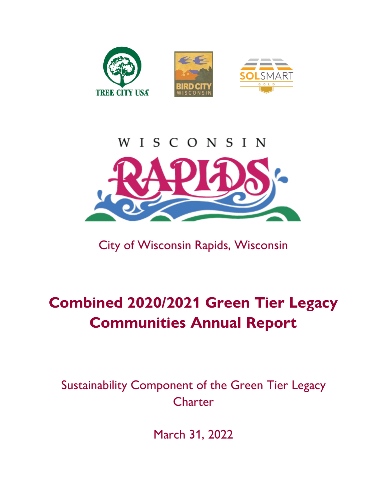



City of Wisconsin Rapids, Wisconsin

# **Combined 2020/2021 Green Tier Legacy Communities Annual Report**

Sustainability Component of the Green Tier Legacy **Charter** 

March 31, 2022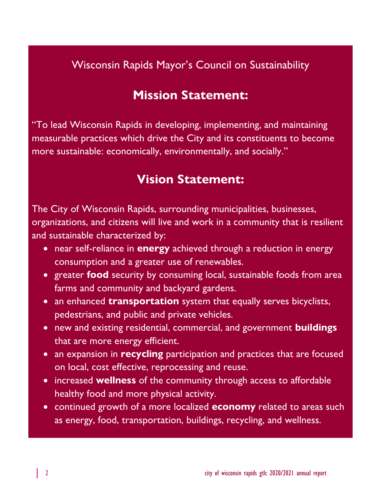### Wisconsin Rapids Mayor's Council on Sustainability

## **Mission Statement:**

"To lead Wisconsin Rapids in developing, implementing, and maintaining measurable practices which drive the City and its constituents to become more sustainable: economically, environmentally, and socially."

## **Vision Statement:**

The City of Wisconsin Rapids, surrounding municipalities, businesses, organizations, and citizens will live and work in a community that is resilient and sustainable characterized by:

- near self-reliance in **energy** achieved through a reduction in energy consumption and a greater use of renewables.
- greater **food** security by consuming local, sustainable foods from area farms and community and backyard gardens.
- an enhanced **transportation** system that equally serves bicyclists, pedestrians, and public and private vehicles.
- new and existing residential, commercial, and government **buildings**  that are more energy efficient.
- an expansion in **recycling** participation and practices that are focused on local, cost effective, reprocessing and reuse.
- increased **wellness** of the community through access to affordable healthy food and more physical activity.
- continued growth of a more localized **economy** related to areas such as energy, food, transportation, buildings, recycling, and wellness.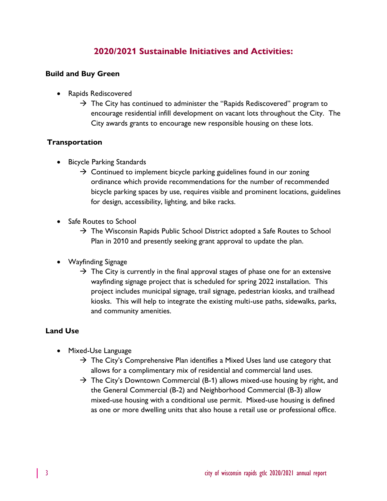### **2020/2021 Sustainable Initiatives and Activities:**

#### **Build and Buy Green**

- Rapids Rediscovered
	- $\rightarrow$  The City has continued to administer the "Rapids Rediscovered" program to encourage residential infill development on vacant lots throughout the City. The City awards grants to encourage new responsible housing on these lots.

#### **Transportation**

- Bicycle Parking Standards
	- $\rightarrow$  Continued to implement bicycle parking guidelines found in our zoning ordinance which provide recommendations for the number of recommended bicycle parking spaces by use, requires visible and prominent locations, guidelines for design, accessibility, lighting, and bike racks.
- Safe Routes to School
	- $\rightarrow$  The Wisconsin Rapids Public School District adopted a Safe Routes to School Plan in 2010 and presently seeking grant approval to update the plan.
- Wayfinding Signage
	- $\rightarrow$  The City is currently in the final approval stages of phase one for an extensive wayfinding signage project that is scheduled for spring 2022 installation. This project includes municipal signage, trail signage, pedestrian kiosks, and trailhead kiosks. This will help to integrate the existing multi-use paths, sidewalks, parks, and community amenities.

#### **Land Use**

- Mixed-Use Language
	- $\rightarrow$  The City's Comprehensive Plan identifies a Mixed Uses land use category that allows for a complimentary mix of residential and commercial land uses.
	- $\rightarrow$  The City's Downtown Commercial (B-1) allows mixed-use housing by right, and the General Commercial (B-2) and Neighborhood Commercial (B-3) allow mixed-use housing with a conditional use permit. Mixed-use housing is defined as one or more dwelling units that also house a retail use or professional office.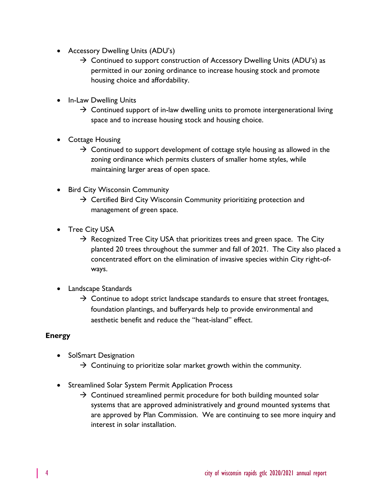- Accessory Dwelling Units (ADU's)
	- $\rightarrow$  Continued to support construction of Accessory Dwelling Units (ADU's) as permitted in our zoning ordinance to increase housing stock and promote housing choice and affordability.
- In-Law Dwelling Units
	- $\rightarrow$  Continued support of in-law dwelling units to promote intergenerational living space and to increase housing stock and housing choice.
- Cottage Housing
	- $\rightarrow$  Continued to support development of cottage style housing as allowed in the zoning ordinance which permits clusters of smaller home styles, while maintaining larger areas of open space.
- **Bird City Wisconsin Community** 
	- $\rightarrow$  Certified Bird City Wisconsin Community prioritizing protection and management of green space.
- Tree City USA
	- $\rightarrow$  Recognized Tree City USA that prioritizes trees and green space. The City planted 20 trees throughout the summer and fall of 2021. The City also placed a concentrated effort on the elimination of invasive species within City right-ofways.
- Landscape Standards
	- $\rightarrow$  Continue to adopt strict landscape standards to ensure that street frontages, foundation plantings, and bufferyards help to provide environmental and aesthetic benefit and reduce the "heat-island" effect.

#### **Energy**

- SolSmart Designation
	- $\rightarrow$  Continuing to prioritize solar market growth within the community.
- Streamlined Solar System Permit Application Process
	- $\rightarrow$  Continued streamlined permit procedure for both building mounted solar systems that are approved administratively and ground mounted systems that are approved by Plan Commission. We are continuing to see more inquiry and interest in solar installation.